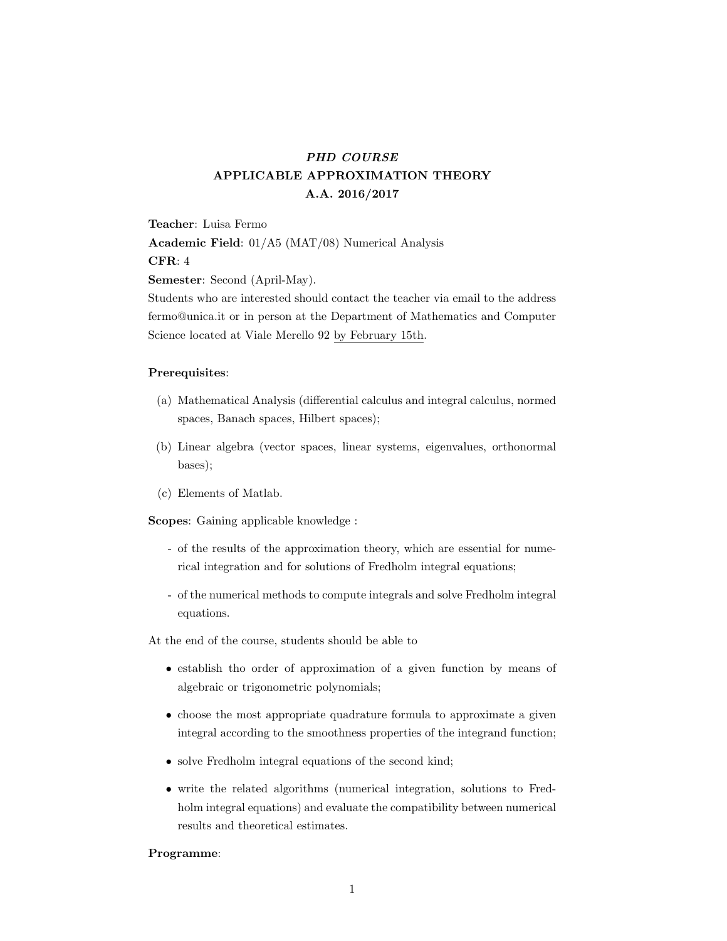# PHD COURSE APPLICABLE APPROXIMATION THEORY A.A. 2016/2017

Teacher: Luisa Fermo

Academic Field: 01/A5 (MAT/08) Numerical Analysis

## CFR: 4

Semester: Second (April-May).

Students who are interested should contact the teacher via email to the address fermo@unica.it or in person at the Department of Mathematics and Computer Science located at Viale Merello 92 by February 15th.

#### Prerequisites:

- (a) Mathematical Analysis (differential calculus and integral calculus, normed spaces, Banach spaces, Hilbert spaces);
- (b) Linear algebra (vector spaces, linear systems, eigenvalues, orthonormal bases);
- (c) Elements of Matlab.

Scopes: Gaining applicable knowledge :

- of the results of the approximation theory, which are essential for numerical integration and for solutions of Fredholm integral equations;
- of the numerical methods to compute integrals and solve Fredholm integral equations.

At the end of the course, students should be able to

- establish tho order of approximation of a given function by means of algebraic or trigonometric polynomials;
- choose the most appropriate quadrature formula to approximate a given integral according to the smoothness properties of the integrand function;
- solve Fredholm integral equations of the second kind;
- write the related algorithms (numerical integration, solutions to Fredholm integral equations) and evaluate the compatibility between numerical results and theoretical estimates.

#### Programme: